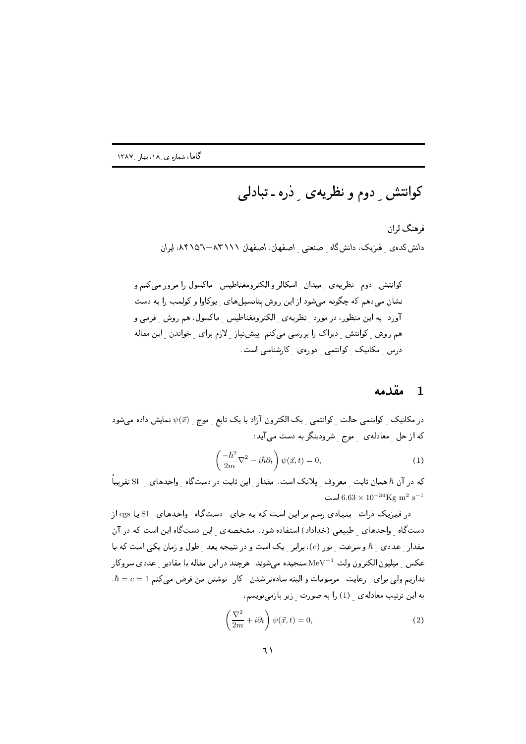کوانتش ِ دوم و نظریه ی ِ دْره ـ تبادلی

فرهنگ لران دانش کدهی ِ فیزیک، دانش گاه ِ صنعتی ِ اصفهان ، اصفهان ۸۳۱۱۸–۸۴۱۵۲، ایران

#### $\lambda$ مقدمه

در مکانیک کوانتمی حالت کوانتمی یک الکترون آزاد با یک تابع ِ موج ِ  $\psi(\vec{x})$  نمایش داده میشود که از حل معادلهی موج شرودینگر به دست می آید:

$$
\left(\frac{-\hbar^2}{2m}\nabla^2 - i\hbar\partial_t\right)\psi(\vec{x},t) = 0,\tag{1}
$$

که در آن  $\hbar$  همان ثابت  $\;$ معروف یلانک است. مقدار این ثابت در دستگاه واحدهای  $\;$   $\;$ تقریباً است.  $6.63 \times 10^{-34} \text{Kg m}^2 \text{ s}^{-1}$ 

در فیزیک ذرات بنیادی رسم بر این است که به جای دستگاه واحدهای SI یا cgs از دستگاه واحدهای طبیعی (خداداد) استفاده شود. مشخصهی این دستگاه این است که در آن مقدار عددی  $\hbar$  و سرعت نور (c)، برابر یک است و در نتیجه بعد طول و زمان یکم است که با عکس میلیون الکترون ولت MeV<sup>-1</sup> سنجیده میشوند. هرچند در این مقاله با مقادیر عددی سروکار  $\hbar = c = 1$  نداریم ولی برای رعایت مرسومات و البته سادهتر شدن کار نوشتن من فرض می کنم به این ترتیب معادلهی (1) را به صورت زیر بازمینویسم،

$$
\left(\frac{\nabla^2}{2m} + i\partial_t\right)\psi(\vec{x}, t) = 0,\tag{2}
$$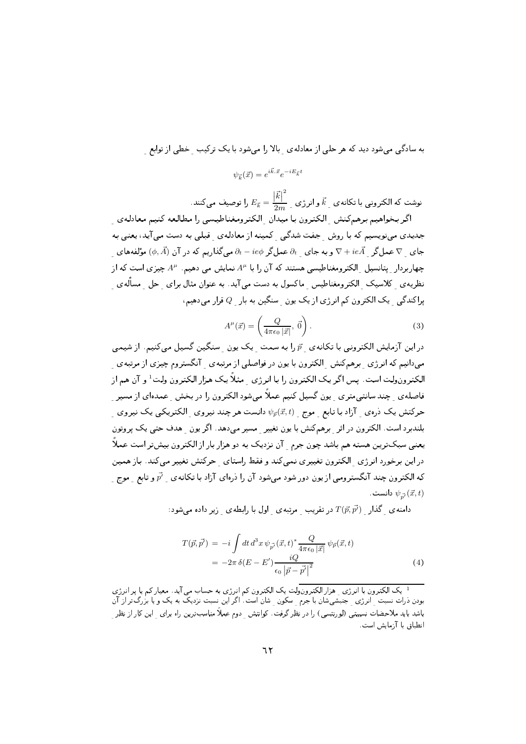به سادگی میشود دید که هر حلی از معادلهی بالا را میشود با یک ترکیب خطی از توابع

 $\psi_{\vec{k}}(\vec{x}) = e^{i\vec{k}.\vec{x}}e^{-iE_{\vec{k}}t}$ 

نوشت که الکترونی با تکانه $\vec{k}$  و انرژی کی  $\vec{k} = \frac{|\vec{k}|^2}{2m}$  را توصیف می $\vec{k}$ نند.

اگر بخواهیم برهمکنش الکترون با میدان الکترومغناطیسی را مطالعه کنیم معادلهی جدیدی می نویسیم که با روش جفت شدگی کمینه از معادلهی قبلی به دست می آید، یعنی به جای  $\nabla$  عمل $\vec{\mathcal{A}}$  و به جای  $\partial_t$  عمل $\partial_t - i e \phi$  میگذاریم که در آن  $(\phi,\vec{A})$  مؤلفههای چهاربردار یتانسیل الکترومغناطیسی هستند که آن را با  $A^\mu$  نمایش می دهیم.  $A^\mu$ چیزی است که از نظریه ی کلاسیک الکترومغناطیس ماکسول به دست می آید. به عنوان مثال برای حل مسأله ی یراکندگی یک الکترون کم انرژی از یک یون سنگین به بار هم دهیم،  $Q$ 

$$
A^{\mu}(\vec{x}) = \left(\frac{Q}{4\pi\epsilon_0 |\vec{x}|}, \vec{0}\right). \tag{3}
$$

در این آزمایش الکترونی با تکانه ی  $\vec{p}$  را به سمت یک یون منگین گسیل میکنیم. از شیمی می،دانیم که انرژی برهمکنش الکترون با یون در فواصلی از مرتبهی آنگستروم چیزی از مرتبهی الکترونولت است. پس اگر یک الکترون را با انرژی مثلاً یک هزار الکترون ولت<sup>1</sup> و آن هم از فاصله ی حند سانتی متری ویون گسیل کنیم عملاً می شود الکترون را در بخش عمدهای از مسیر حرکتش یک درهی آزاد با تابع موج  $\psi_{\vec{p}}(\vec{x},t)$  دانست هر چند نیروی الکتریکی یک نیروی بلندبرد است. الكترون در اثر برهمكنش با يون تغيير مسير مىدهد. اگريون هدف حتى يك يروتون یعنبی سبکترین هسته هم باشد چون جرم آن نزدیک به دو هزار بار از الکترون بیشتر است عملاً در این برخورد انرژی الکترون تغییری نمی کند و فقط راستای حرکتش تغییر می کند. باز همین که الکترون چند آنگسترومی از یون دور شود میشود آن را درمای آزاد با تکانهی ب $\vec{p'}$  و تابع ب موج دانست  $\psi_{\vec{x}}(\vec{x},t)$ 

: دامنه ی گذار  $T(\vec{p},\vec{p'})$  در تقریب مرتبه ی اول با رابطه ی زیر داده می شود

$$
T(\vec{p}, \vec{p'}) = -i \int dt \, d^3x \, \psi_{\vec{p'}}(\vec{x}, t)^* \frac{Q}{4\pi\epsilon_0 |\vec{x}|} \, \psi_{\vec{p}}(\vec{x}, t)
$$

$$
= -2\pi \, \delta(E - E') \frac{iQ}{\epsilon_0 |\vec{p} - \vec{p'}|^2}
$$
(4)

<sup>1</sup> یک الکترون با انرژی ِ هزار الکترونولت یک الکترون کم انرژی به حساب می آید. معیار کم یا پر انرژی بودن ذرات نسبت ِ انرژی ِ جنبشیشان با جرم ِ سکون ِ شان است. اگر این نسبت نزدیک به یک و یا بزرگ تر از آن باشد باید ملاحضات نسبیتی (لورنتسی) را در نظر گرفت. کوانتش دوم عملاً مناسبترین راه برای این کار از نظر انطباق با آزمایش است.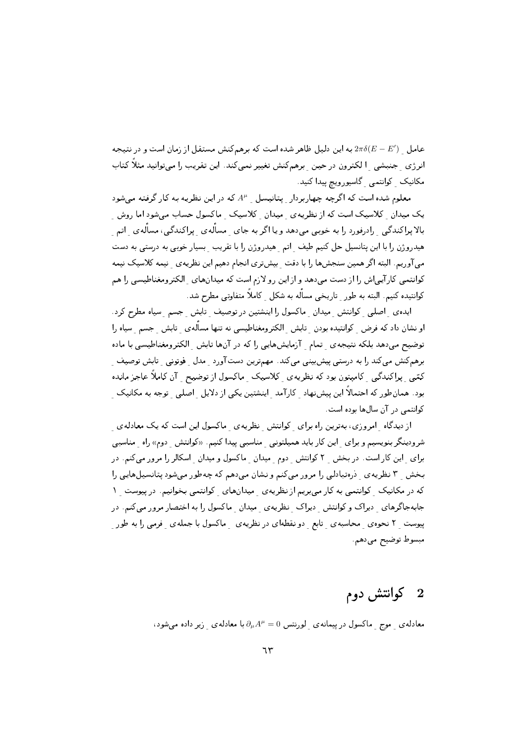عامل و  $2\pi\delta(E-E')$  به این دلیل ظاهر شده است که برهمکنش مستقل از زمان است و در نتیجه انرژی جنبشی الکترون درحین برهمکنش تغییر نمیکند. این تقریب را میتوانید مثلاً کتاب مکانیک کوانتمی گاسپورویچ پیداکنید.

معلوم شده است که اگرچه چهاربردار پتانیسل له  $A^{\mu}$  که در این نظریه به کار گرفته می شود یک میدان کلاسیک است که از نظریه ی میدان کلاسیک ماکسول حساب میشود اما روش بالا پراکندگی - رادرفورد را به خوبی میدهد و یا اگر به جای - مسأله ی - پراکندگی، مسأله ی - اتم -هیدروژن را با این پتانسیل حل کنیم طیف اتم هیدروژن را با تقریب بسیار خوبی به درستی به دست می آوریم. البته اگر همین سنجشها را با دقت بیشتری انجام دهیم این نظریهی پیمه کلاسیک نیمه کوانتمی کارآییاش را از دست میدهد و از این رو لازم است که میدانهای ِ الکترومغناطیسی را هم کوانتیده کنیم. البته به طور ِ تاریخی مسأله به شکل ِ کاملاً متفاوتی مطرح شد.

ایده ی اصلی کوانتش میدان ماکسول را اینشتین در توصیف تابش جسم سیاه مطرح کرد. او نشان داد که فرض کوانتیده بودن ِ تابش الکترومغناطیسی نه تنها مسأله ی ِ تابش ِ جسم ِ سیاه را توضیح میدهد بلکه نتیجهی ً تمام آزمایشهایی را که در آنها تابش الکترومغناطیسی با ماده برهمکنش میکند را به درستی پیشبینی میکند. مهمترین دستآورد مدل فوتونی تابش توصیف کمّی پراکندگی کامیتون بود که نظریهی کلاسیک ماکسول ازتوضیح آن کاملاً عاجز مانده بود. همانطور که احتمالاً این پیشنهاد کارآمد اینشتین یکی از دلایل اصلی توجه به مکانیک کوانتمی در آن سالها بوده است.

از دیدگاه امروزی، بهترین راه برای کوانتش نظریهی ماکسول این است که یک معادلهی شرودینگر بنویسیم و برای لین کار باید همیلتونی مناسبی پیدا کنیم. «کوانتش دوم» راه مناسبی برای این کار است. در بخش ۲ کوانتش دوم میدان ماکسول و میدان اسکالر را مرور میکنم. در بخش ۲ نظریه ی درهتبادلی را مرور میکنم و نشان میدهم که چهطور میشود پتانسیلهایی را که در مکانیک کوانتمی به کار میبریم از نظریهی میدانهای کوانتمی بخوانیم. در پیوست ۱ جابهجاگرهای ِ دیراک و کوانتش ِ دیراک ِ نظریهی ِ میدان ِ ماکسول را به اختصار مرور می کنم. در پیوست ۲ نحوه ی محاسبه ی تابع و د نقطهای در نظریه ی هماکسول با جمله ی فرمی را به طور ا مبسوط توضيح ميدهم.

#### 2 كوانتش دوم

معادلهی موج ماکسول درییمانهی لورنتس  $\partial_\mu A^\mu=0$ با معادلهی زیر داده میشود،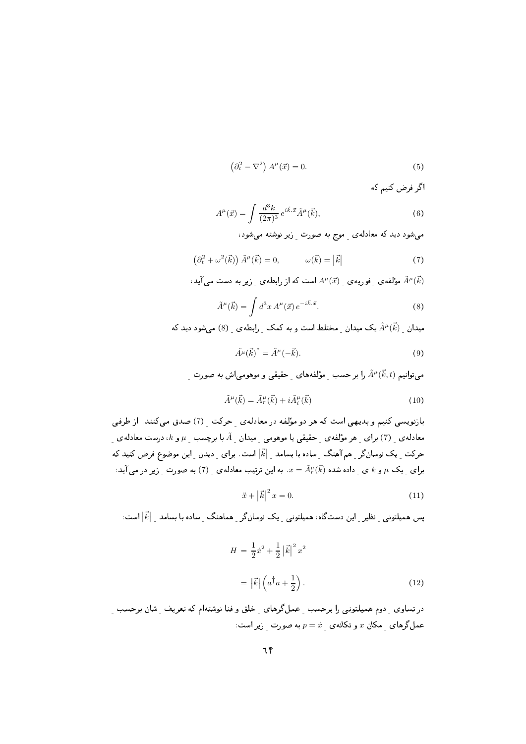$$
\left(\partial_t^2 - \nabla^2\right) A^\mu(\vec{x}) = 0.
$$
\n<sup>(5)</sup>

اگر فرض کنیم که

$$
A^{\mu}(\vec{x}) = \int \frac{d^3k}{(2\pi)^3} e^{i\vec{k}.\vec{x}} \tilde{A}^{\mu}(\vec{k}), \qquad (6)
$$

می شود دید که معادله ی موج به صورت زیر نوشته می شود،

$$
\left(\partial_t^2 + \omega^2(\vec{k})\right)\tilde{A}^\mu(\vec{k}) = 0, \qquad \omega(\vec{k}) = |\vec{k}| \tag{7}
$$

$$
A^{\mu}(\vec{k})
$$
مۇلفەى  $\frac{1}{2}$  فوريەى  $\frac{1}{2}$ ا $A^{\mu}(\vec{x})$ است كە از رابطەى  $\frac{1}{2}$ زىر بە دست مى آىدى

$$
\tilde{A}^{\mu}(\vec{k}) = \int d^3x \, A^{\mu}(\vec{x}) \, e^{-i\vec{k}.\vec{x}}.\tag{8}
$$

میدان  $\tilde{A}^\mu(\vec{k})$  یک میدان مختلط است و به کمک رابطه ی (8) میشود دید که

$$
\tilde{A}^{\mu}(\vec{k})^* = \tilde{A}^{\mu}(-\vec{k}).\tag{9}
$$

می توانیم ( $\widetilde{A}^\mu(\vec{k},t)$  را بر حسب مولفههای حقیقی و موهومی اش به صورت

$$
\tilde{A}^{\mu}(\vec{k}) = \tilde{A}^{\mu}_{r}(\vec{k}) + i\tilde{A}^{\mu}_{i}(\vec{k})
$$
\n(10)

بازنویسی کنیم و بدیهی است که هر دو مؤلفه در معادلهی حرکت (7) صدق میکنند. از طرفی معادله ی $\kappa$ ) برای هر مؤلفه ی حقیقی یا موهومی ًمیدان  $\tilde{A}$  با برچسب  $\mu$  و  $k$ ، درست معادله ی حرکت یک نوسان گر هم آهنگ ساده با بسامد |آء| است. برای دیدن این موضوع فرض کنید که برای یک  $\mu$ و  $k$ ی داده شده  $\tilde{A}^\mu_r(\vec{k})$  به این ترتیب معادله $_2$  (7) به صورت ِ زیر در می آید:

$$
\ddot{x} + |\vec{k}|^2 x = 0.
$$
 (11)

یس همیلتونی ِ نظیر این دستگاه، همیلتونی یک نوسانگر ِ هماهنگ ِ ساده با بِسامد  $|\vec{k}|$ است:

$$
H = \frac{1}{2}\dot{x}^2 + \frac{1}{2}|\vec{k}|^2 x^2
$$

$$
= |\vec{k}| \left(a^\dagger a + \frac{1}{2}\right).
$$
 (12)

در تساوي \_ دوم هميلتوني را برحسب \_ عمل گرهاي \_ خلق و فنا نوشتهام كه تعريف \_ شان برحسب \_ عملگرهای مکان  $x$  و تکانهی  $\dot{x} = p = p$ به صورت زیر است: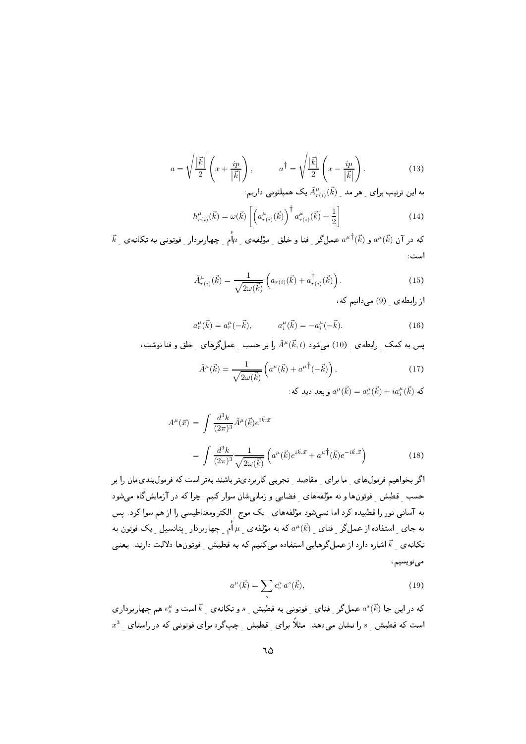$$
a = \sqrt{\frac{|\vec{k}|}{2}} \left( x + \frac{ip}{|\vec{k}|} \right), \qquad a^{\dagger} = \sqrt{\frac{|\vec{k}|}{2}} \left( x - \frac{ip}{|\vec{k}|} \right). \tag{13}
$$

به این ترتیب برای مهر مد  $\tilde{A}^\mu_{r(i)}(\vec{k})$  یک همیلتونی داریم:

$$
h_{r(i)}^{\mu}(\vec{k}) = \omega(\vec{k}) \left[ \left( a_{r(i)}^{\mu}(\vec{k}) \right)^{\dagger} a_{r(i)}^{\mu}(\vec{k}) + \frac{1}{2} \right]
$$
 (14)

 $\vec{k}_{\perp}$  که در آن  $a^{\mu}(\vec{k})$  و  $a^{\mu \dagger}(\vec{k})$  عمل $\ell$ ر فنا و خلق ِ مؤلفه $\mu_{\perp}$ م ِ چهاربردار ِ فوتونبی به تکانه $a^{\mu}(\vec{k})$ است:

$$
\tilde{A}^{\mu}_{r(i)}(\vec{k}) = \frac{1}{\sqrt{2\omega(\vec{k})}} \left( a_{r(i)}(\vec{k}) + a^{\dagger}_{r(i)}(\vec{k}) \right). \tag{15}
$$

از رابطهی (9) می دانیم که،

$$
a_r^{\mu}(\vec{k}) = a_r^{\mu}(-\vec{k}), \qquad a_i^{\mu}(\vec{k}) = -a_i^{\mu}(-\vec{k}). \qquad (16)
$$

یس به کمک رابطهی (10) می شود ( $\tilde{A}^{\mu}(\vec{k},t)$  را بر حسب عمل گرهای خلق و فنا نوشت،

$$
\tilde{A}^{\mu}(\vec{k}) = \frac{1}{\sqrt{2\omega(\vec{k})}} \left( a^{\mu}(\vec{k}) + a^{\mu \dagger}(-\vec{k}) \right),\tag{17}
$$

: که  $a^\mu(\vec{k}) = a^\mu(\vec{k}) + i a^\mu_i(\vec{k})$  و بعد دید که

$$
A^{\mu}(\vec{x}) = \int \frac{d^3k}{(2\pi)^3} \tilde{A}^{\mu}(\vec{k}) e^{i\vec{k}\cdot\vec{x}}
$$
  
= 
$$
\int \frac{d^3k}{(2\pi)^3} \frac{1}{\sqrt{2\omega(\vec{k})}} \left( a^{\mu}(\vec{k}) e^{i\vec{k}\cdot\vec{x}} + a^{\mu \dagger}(\vec{k}) e^{-i\vec{k}\cdot\vec{x}} \right)
$$
(18)

اگر بخواهیم فرمولهای ما برای مقاصد تجربی کاربردیتر باشند بهتر است که فرمول بندیمان را بر حسب قطبش فوتونها و نه مؤلفههای فضایی و زمانیشان سوار کنیم. چرا که در آزمایشگاه میشود به آسانی نور را قطبیده کرد اما نمیشود مؤلفههای یک موج ِ الکترومغناطیسی را از هم سوا کرد. پس به جای  $\;$ استفاده از عمل $\zeta$ ر فنای  $\;a^\mu(\vec{k})\;$ که به مؤلفه $\;\mu\;$  به چهاربردار پتانسیل یک فوتون به تکانه ی گم آشاره دارد از عملگرهایی استفاده می کنیم که به قطبش فوتونها دلالت دارند. یعنی مىنويسيم،

$$
a^{\mu}(\vec{k}) = \sum_{s} \epsilon_s^{\mu} a^s(\vec{k}), \qquad (19)
$$

که در این جا  $a^s(\vec{k})$  عملگر فنای فوتونی به قطبش  $s$  و تکانه $\vec{k}$  است و  $\epsilon_s^\mu$  هم چهاربرداری  $x^3$  است که قطبش  $s$  را نشان میدهد. مثلاً برای قطبش چپگرد برای فوتونی که در راستای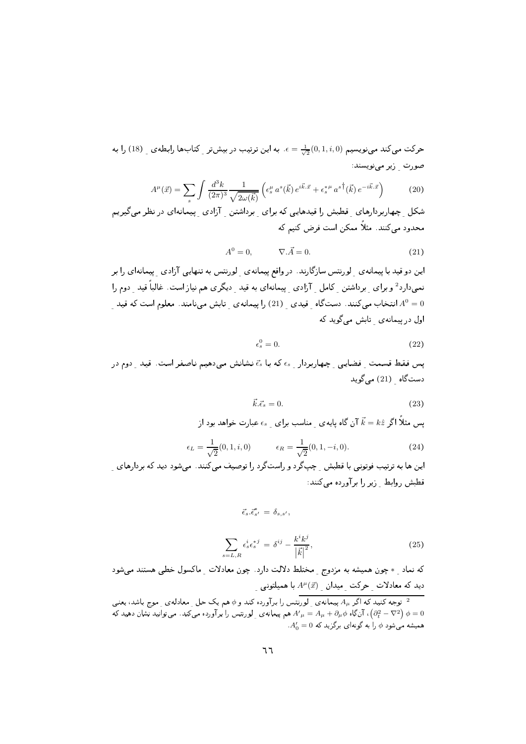حرکت میکند مینویسیم  $\frac{1}{\sqrt{2}}(0,1,i,0)$ . به این ترتیب در بیش تر کتابها رابطه ی و (18) را به صورت (پر مے نویسند:

$$
A^{\mu}(\vec{x}) = \sum_{s} \int \frac{d^{3}k}{(2\pi)^{3}} \frac{1}{\sqrt{2\omega(\vec{k})}} \left( \epsilon_{s}^{\mu} a^{s}(\vec{k}) e^{i\vec{k}.\vec{x}} + \epsilon_{s}^{*\mu} a^{s\dagger}(\vec{k}) e^{-i\vec{k}.\vec{x}} \right)
$$
(20)

شکل چهاربردارهای قطبش را قیدهایی که برای برداشتن آزادی پیمانهای در نظر میگیریم محدود می کنند. مثلاً ممکن است فرض کنیم که

$$
A^0 = 0, \qquad \nabla . \vec{A} = 0. \tag{21}
$$

این دو قید با پیمانهی ِ لورنتس سازگارند. در واقع پیمانهی ِ لورنتس به تنهایی آزادی ِ پیمانهای را بر نمیدارد<sup>2</sup> و برای برداشتن کامل آزادی پیمانهای به قید دیگری هم نیاز است. غالباً قید دوم را انتخاب میکنند. دستگاه قیدی [21) را پیمانه $\epsilon$ ی تابش مینامند. معلوم است که قید  $A^0=0$ اول در پیمانه ی تابش می گوید که

$$
\epsilon_s^0 = 0. \tag{22}
$$

یس فقط قسمت فضایی چهاربردار  $\epsilon_s$  که با  $\vec{\epsilon}_s$ نشانش می دهیم ناصفر است. قید دوم در دستگاه (21) میگوید

$$
\vec{k}.\vec{\epsilon}_s = 0. \tag{23}
$$

یس مثلاً اگر  $k\hat z$  آن گاه پایهی ِ مناسب برای ِ  $\epsilon_s$  عبارت خواهد بود از

$$
\epsilon_L = \frac{1}{\sqrt{2}}(0, 1, i, 0) \qquad \epsilon_R = \frac{1}{\sqrt{2}}(0, 1, -i, 0). \tag{24}
$$

این ها به ترتیب فوتونی با قطبش ِ چپگرد و راستگرد را توصیف میکنند. میشود دید که بردارهای ِ قطبش روابط زير را برآورده مى كنند:

$$
\vec{\epsilon}_s.\vec{\epsilon}_{s'}^* = \delta_{s,s'}
$$

$$
\sum_{s=L,R} \epsilon_s^i \epsilon_s^{*j} = \delta^{ij} - \frac{k^i k^j}{|\vec{k}|^2},\tag{25}
$$

که نماد ِ \* چون همیشه به مزدوج ِ مختلط دلالت دارد. چون معادلات ِ ماکسول خطی هستند میشود دید که معادلات حرکت میدان  $A^\mu(\vec{x})$  با همیلتونی

توجه کنید که اگر  $A_\mu$  پیمانه $\frac{1}{2}$ رنتس را برآورده کند و  $\phi$  هم یک حل ِ معادله $\frac{1}{2}$  موج باشد، یعنی  $^{-2}$ ا آنگاه $A_\mu + A_\mu + A_\mu + A_\mu = A_\mu + A_\mu$  هم پیمانه $\omega_\perp$  ورنتس را برآورده میکند. میتوانید نشان دهید که  $\left( \partial_t^2 - \nabla^2 \right) \phi = 0$  $A'_0 = 0$  همیشه می شود  $\phi$  را به گونهای برگزید که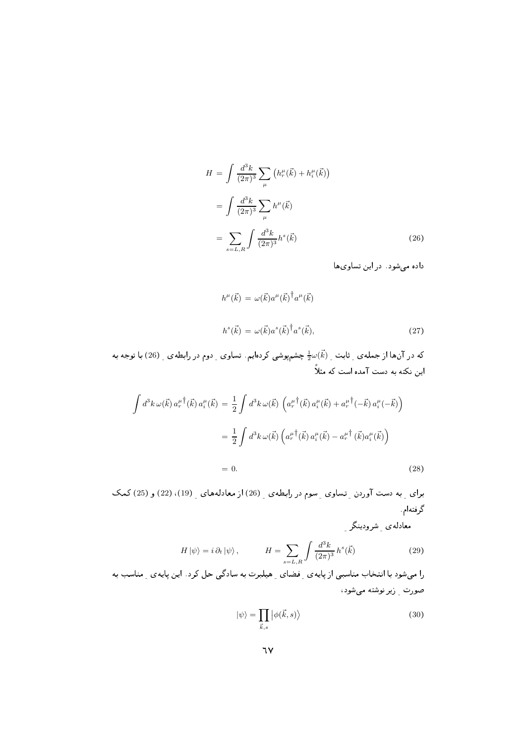$$
H = \int \frac{d^3k}{(2\pi)^3} \sum_{\mu} \left( h_r^{\mu}(\vec{k}) + h_i^{\mu}(\vec{k}) \right)
$$
  
= 
$$
\int \frac{d^3k}{(2\pi)^3} \sum_{\mu} h^{\mu}(\vec{k})
$$
  
= 
$$
\sum_{s=L,R} \int \frac{d^3k}{(2\pi)^3} h^s(\vec{k})
$$
 (26)

داده می شود. در این تساویها

$$
h^{\mu}(\vec{k}) = \omega(\vec{k})a^{\mu}(\vec{k})^{\dagger}a^{\mu}(\vec{k})
$$

$$
h^{s}(\vec{k}) = \omega(\vec{k})a^{s}(\vec{k})^{\dagger}a^{s}(\vec{k}),
$$
(27)

که در آنها از جملهی ِ ثابت ِ  $\frac{1}{2}\omega(\vec{k})$  چشمپوشی کردهایم. تساوی ِ دوم در رابطهی ِ (26) با توجه به این نکته به دست آمده است که مثلاً

$$
\int d^{3}k \,\omega(\vec{k}) a_{r}^{\mu}{}^{\dagger}(\vec{k}) a_{i}^{\mu}(\vec{k}) = \frac{1}{2} \int d^{3}k \,\omega(\vec{k}) \left( a_{r}^{\mu}{}^{\dagger}(\vec{k}) a_{i}^{\mu}(\vec{k}) + a_{r}^{\mu}{}^{\dagger}(-\vec{k}) a_{i}^{\mu}(-\vec{k}) \right)
$$

$$
= \frac{1}{2} \int d^{3}k \,\omega(\vec{k}) \left( a_{r}^{\mu}{}^{\dagger}(\vec{k}) a_{i}^{\mu}(\vec{k}) - a_{r}^{\mu}{}^{\dagger}(\vec{k}) a_{i}^{\mu}(\vec{k}) \right)
$$

$$
= 0. \tag{28}
$$

برای به دست آوردن تساوی رسوم در رابطهی ر (26) از معادلههای ر (19)، (22) و (25) کمک گرفته|م

معادلهءي شرودينگر

$$
H|\psi\rangle = i \,\partial_t |\psi\rangle \,, \qquad H = \sum_{s=L,R} \int \frac{d^3k}{(2\pi)^3} \, h^s(\vec{k}) \tag{29}
$$

را میشود با انتخاب مناسبی از پایه ی ِ فضای ِ هیلبرت به سادگی حل کرد. این پایه ی ِ مناسب به صورت أزير نوشته مى شود،

$$
|\psi\rangle = \prod_{\vec{k},s} |\phi(\vec{k},s)\rangle \tag{30}
$$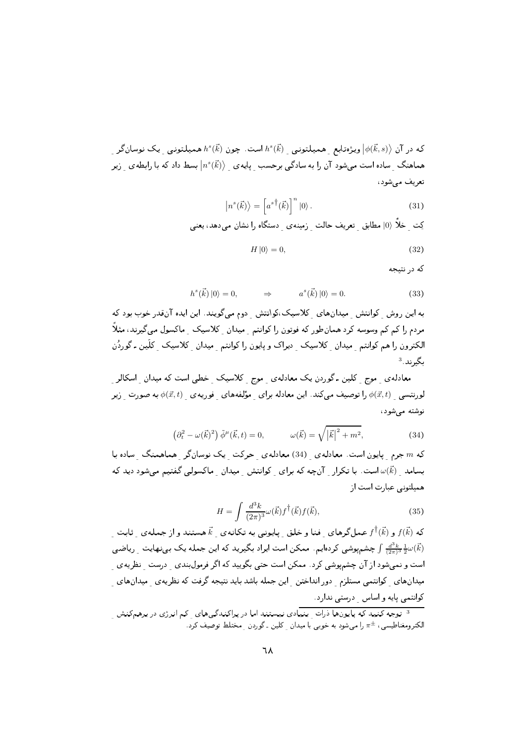که در آن  $\ket{\phi(\vec{k},s)}$  ویژهتابع همیلتونی  $h^s(\vec{k})$  است. چون  $h^s(\vec{k})$  همیلتونی یک نوسانگر هماهنگ  $\;$  ساده است می شود آن را به سادگی برحسب ِ پایه $\; \mathcal{C} \left( \vec{k} \right) \big\rangle \;$  بسط داد که با رابطه $\;$  ریر تعريف مي شود،

$$
\left|n^s(\vec{k})\right\rangle = \left[a^{s\dagger}(\vec{k})\right]^n \left|0\right\rangle. \tag{31}
$$

$$
H|0\rangle = 0,\t\t(32)
$$

که در نتیجه

$$
h^{s}(\vec{k})\left|0\right\rangle = 0, \qquad \Rightarrow \qquad a^{s}(\vec{k})\left|0\right\rangle = 0. \tag{33}
$$

به این روش کوانتش ِ میدانهای ِ کلاسیک،کوانتش ِ دوم می گویند. این ایده آنقدر خوب بود که مردم را کم کم وسوسه کرد همان طور که فوتون را کوانتم -میدان -کلاسیک - ماکسول می گیرند، مثلاً الکترون را هم کوانتم ً میدان کلاسیک ً دیراک و پایون را کوانتم ً میدان کلاسیک ً کلّین ـ گوردُن  $^3$  بگیرند.

معادله ی۔ موج ِ کلین ـ گوردن یک معادله ی ِ موج ِ کلاسیک ِ خطی است که میدان ِ اسکالر ِ لورنتسی  $\phi(\vec{x},t)$  را توصیف میکند. این معادله برای ِ مؤلفههای ِ فوریهی ِ  $\phi(\vec{x},t)$  به صورت ِ زیر نوشته مے شود،

$$
\left(\partial_t^2 - \omega(\vec{k})^2\right)\tilde{\phi}^\mu(\vec{k},t) = 0, \qquad \omega(\vec{k}) = \sqrt{|\vec{k}|^2 + m^2}, \qquad (34)
$$

که  $m$ جرم پایون است. معادلهی (34) معادلهی جرکت یک نوسانگر هماهمنگ ساده با بسامد  $\vec{k)}$  است. با تکرار آنچه که برای کوانتش میدان ماکسولی گفتیم میشود دید که همیلتونی عبارت است از

$$
H = \int \frac{d^3k}{(2\pi)^3} \omega(\vec{k}) f(\vec{k}) f(\vec{k}), \qquad (35)
$$

که  $f^{\dagger}(\vec{k})$  و  $f^{\dagger}(\vec{k})$  عمل $\delta$ رهای فنا و خلق ِ پایونی به تکانهی ِ  $\vec{k}$  هستند و از جملهی ِ ثابت چشمیوشی کردهایم . ممکن است ایراد بگیرید که این جمله یک بینهایت  $\frac{d^3k}{(2\pi)^3} \frac{1}{2} \omega(\vec{k})$ است و نمیشود از آن چشمپوشی کرد . ممکن است حتی بگویید که اگر فرمولبندی درست نظریه ی میدانهای ِ کوانتمی مستلزم ِ دور انداختن ِ این جمله باشد باید نتیجه گرفت که نظریه ی ِ میدانهای ِ کوانتمی پایه و اساس درستی ندارد.

<sup>3</sup> توجه کنید که پایونها ذرات -بنیادی نیستند اما در پراکندگی های -کم انرژی در برهمکنش الکترومغناطیسی،  $\pi^\pm$  را میشود به خوبی با میدان ِ کلین ـ گوردن ِ مختلط توصیف کرد.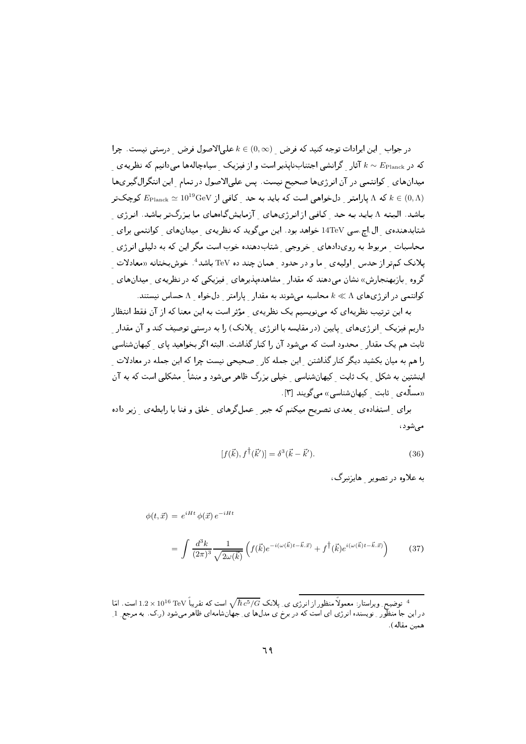$k\in\left(0,\infty\right)$  در جواب این ایرادات توجه کنید که فرض  $k\in\left(0,\infty\right)$  علی الاصول فرض درستی نیست. چرا که در  $E_{\text{Planck}}$  آثار گرانشی اجتنابنایذیر است و از فیزیک هسامچالهها می دانیم که نظریهی میدانهای کوانتمی در آن انرژیها صحیح نیست. پس علی الاصول در تمام این انتگرالگیریها  $E_{\rm Planck} \simeq 10^{19} {\rm GeV}$  که  $\Lambda$  پارامتر  $\Delta$ رخواهی است که باید به حد کافی از  $E_{\rm Planck} \simeq 10^{19} {\rm GeV}$  کوچکتر باشد. البته ۸ باید به حد کافی از انرژیهای آزمایشگاههای ما بزرگتر باشد. انرژی شتابدهنده یال اج سی 14TeV خواهد بود . این میگوید که نظریه یمیدانهای کوانتمی برای محاسبات ً مربوط به رویدادهای گخروجی گشتابدهنده خوب است مگر این که به دلیلی انرژی یلانک کمتر از حدس اولیهی ما و در حدود همان چند ده TeV باشد<sup>4</sup>. خوشبختانه «معادلات گروه بازبهنجارش» نشان میدهند که مقدار مشاهدهپذیرهای فیزیکی که در نظریه ی میدانهای کوانتمی در انرژیهای  $\Lambda\ll\Lambda$  محاسبه می شوند به مقدار پارامتر دلخواه  $\Lambda$ حساس نیستند.

به این ترتیب نظریهای که میٖنویسیم یک نظریهی ۲مؤثر است به این معنا که از آن فقط انتظار داریم فیزیک ِ انرژیهای ِ پایین (در مقایسه با انرژی ِ پلانک) را به درستی توصیف کند و آن مقدار ثابت هم یک مقدار محدود است که می شود آن را کنار گذاشت. البته اگر بخواهید یای گیهان شناسی را هم به میان بکشید دیگر کنار گذاشتن این جمله کار صحیحی نیست چرا که این جمله در معادلات اینشتین به شکل ِ یک ثابت ِ کیهانشناسی ِ خیلی بزرگ ظاهر میشود و منشأ ِ مشکلی است که به آن «مسأله ی ثابت کیهان شناسی» می گویند [۳].

برای ِ استفاده ی بعدی تصریح میکنم که جبر عملگرهای خلق و فنا با رابطه ی زیر داده مے شود،

$$
[f(\vec{k}), f^{\dagger}(\vec{k}')] = \delta^3(\vec{k} - \vec{k}'). \tag{36}
$$

به علاوه در تصویر هایزنبرگ،

$$
\phi(t,\vec{x}) = e^{iHt} \phi(\vec{x}) e^{-iHt}
$$
\n
$$
= \int \frac{d^3k}{(2\pi)^3} \frac{1}{\sqrt{2\omega(\vec{k})}} \left( f(\vec{k}) e^{-i(\omega(\vec{k})t - \vec{k}.\vec{x})} + f^{\dagger}(\vec{k}) e^{i(\omega(\vec{k})t - \vec{k}.\vec{x})} \right)
$$
\n(37)

توضیح ِ ویراستار: معمولاً منظور از انرژی ی ِ پلانک $\hbar\,c^5/G$  است که تقریباً TeV توضیح ِ ویراستار: معمولاً منظور از انرژی ی ِ پلانک در این جا منظّور ِ نویسنده انرژی ای است که در برخ ی مدلها ی ِ جهانشامهای ظاهر میشود (ر.ک. به مرجع ِ 1 ِ همين مقاله).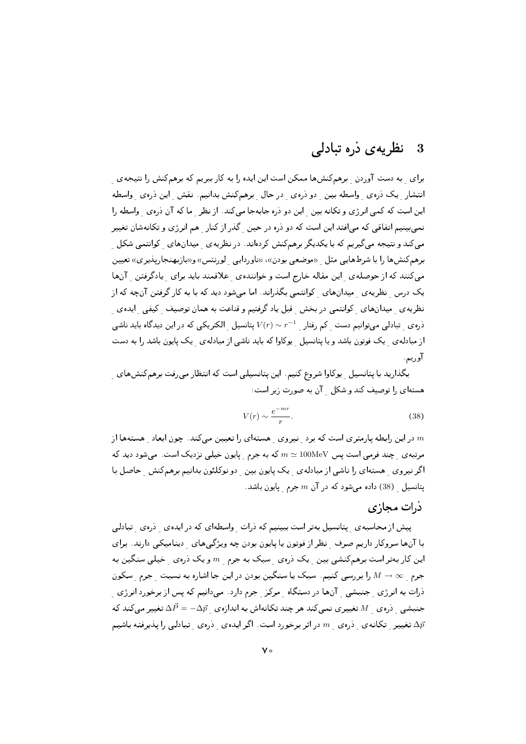#### نظریه ی ذره تبادلی 3

برای به دست آوردن برهمکنشها ممکن است این ایده را به کار ببریم که برهمکنش را نتیجهی انتشار یک ذروی واسطه بین دو ذروی در حال برهمکنش بدانیم. نقش این ذروی واسطه این است که کمی انرژی و تکانه بین این دو ذره جابهجا میکند. از نظر ما که آن ذرهی واسطه را نمبي بينيم اتفاقي كه مي افتد اين است كه دو ذره در حين گذر از كنار هم انرژي و تكانهشان تغيير می کند و نتیجه می گیریم که با یکدیگر برهمکنش کردهاند. در نظریه ی میدانهای کوانتمی شکل برهم کنشها را با شرطهایی مثل «موضعی بودن»، «ناوردایی لورنتس» و«بازبهنجارپذیری» تعیین می کنند که از حوصلهی لین مقاله خارج است و خوانندهی علاقمند باید برای پادگرفتن آنها یک درس ِ نظریهی ِ میدانهای ِ کوانتمی بگذراند. اما میشود دید که با به کار گرفتن آنچه که از نظریه ی میدانهای کوانتمی در بخش قبل یاد گرفتیم و قناعت به همان توصیف کیفی ایده ی ذره ی تبادلی می توانیم دست کم رفتار  $r^{-1} \sim V(r) \sim V(r)$  پتانسیل الکتریکی که در این دیدگاه باید ناشی از مبادله ی یک فوتون باشد و یا پتانسیل یوکاوا که باید ناشی از مبادله ی یک پایون باشد را به دست آوريم.

بگذارید با پتانسیل ¸ یوکاوا شروع کنیم. این پتانسیلی است که انتظار میرفت برهمکنشهای ¸ هستهای را توصیف کند و شکل آن به صورت زیر است:

$$
V(r) \sim \frac{e^{-mr}}{r}.\tag{38}
$$

در این رابطه پارمتری است که برد هنیروی هستهای را تعیین می کند. چون ابعاد هستهها از  $m$ مرتبه ی جند فرمی است یس  $100\text{MeV} \simeq m \simeq 1$  که به جرم پایون خیلی نزدیک است. میشود دید که اگر نیروی ِ هستهای را ناشی از مبادلهی ِ یک پایون بین ِ دو نوکلئون بدانیم برهمکنش ِ حاصل با یتانسیل (38) داده می شود که در آن  $m$  جرم پایون باشد.

#### ذرات مجازى

پیش از محاسبه ی پتانسیل بهتر است ببینیم که درات واسطهای که در ایدهی دروی تبادلی با آنها سروکار داریم صرف نظر از فوتون یا پایون بودن چه ویژگیهای دینامیکی دارند. برای این کار بهتر است برهمکنشی بین ِ یک ذرهی ِ سبک به جرم ِ  $m$  و یک ذرهی ِ خیلی سنگین به جرم ه $\mathscr{M} \to \mathscr{M}$  را بررسی کنیم. سبک یا سنگین بودن در این جا اشاره به نسبت حرم سکون ذرات به انرژی <sub>-</sub> جنبشی <sub>-</sub> آنها در دستگاه <sub>-</sub> مرکز <sub>-</sub> جرم دارد . میدانیم که پس از برخورد انرژی <sub>-</sub> جنبشی دروی  $M$  تغییری نمیکند هر چند تکانهاش به اندازوی  $\vec{P}=-\Delta \vec{p}$  تغییر میکند که تغییر تکانهی دروی  $m$  در اثر برخورد است. اگر ایدهی دروی تبادلی را پذیرفته باشیم  $\Delta \vec{p}$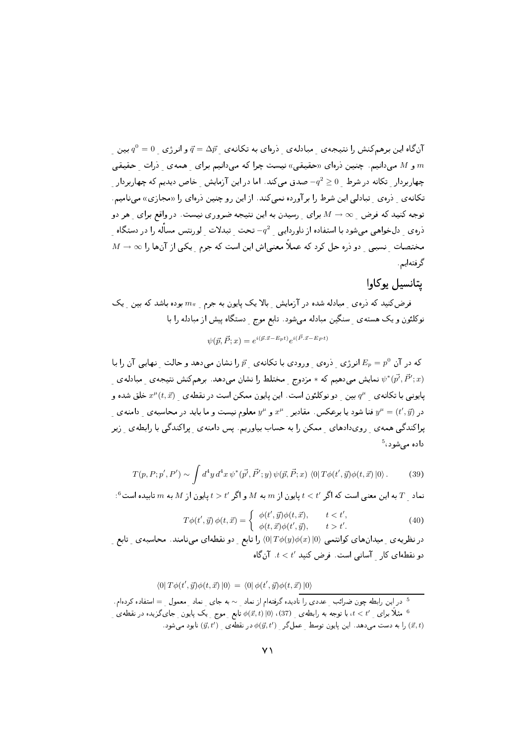آنگاه این برهمکنش را نتیجهی هجادلهی آذرهای به تکانهی  $\vec{q} = \Delta \vec{p}$  و انرژی  $q^0 = 0$  بین  $\vec{q}$ و M میدانیم. چنین ذرهای «حقیقی» نیست چرا که میدانیم برای همهی ذرات حقیقی  $m$ چهاربردار تکانه در شرط 0 $q^2 \geq 0$  صدق می $z$ ند. اما در این آزمایش خاص دیدیم که چهاربردار تکانهی دروی تبادلی این شرط را برآورده نمیکند. از این رو چنین درهای را «مجازی» مینامیم. توجه کنید که فرض  $\infty \to M \to N$  برای رسیدن به این نتیجه ضروری نیست. در واقع برای هر دو ذرهى \_ دلخواهي مىشود با استفاده از ناوردايى \_  $-q^2$  تحت \_ تبدلات \_ لورنتس مسأله را در دستگاه  $M\rightarrow\infty$  مختصات -نسببی - دو ذره حل کرد که عملاً معنی $\mathbb{R}^d$  معنی اش این است که جرم - یکی از آنها را گرفتهایم.

#### يتانسيل يوكاوا

فرض کنید که درهی میادله شده در آزمایش بالایک پایون به جرم هسی ایوده باشد که بین یک نوکلئون و یک هسته ی ً سنگین مبادله میشود. تابع موج ٍ دستگاه پیش از مبادله را با

$$
\psi(\vec{p}, \vec{P}; x) = e^{i(\vec{p} \cdot \vec{x} - E_p t)} e^{i(\vec{P} \cdot \vec{x} - E_P t)}
$$

که در آن  $E_p = p^0$  انرژی ِ دروی ورودی با تکانهی  $\vec{p}$  را نشان میدهد و حالت ِ نهایی آن را با  $E_p = p^0$ نمایش میدهیم که  $*$ مزدوج ۲مختلط را نشان میدهد. برهمکنش نتیجهی ۲مبادلهی  $\psi^{*}(\vec{p'},\vec{P}';x)$ یایونی با تکانه ی ه $q^\mu$  بین دو نوکلئون است. این پایون ممکن است در نقطه ی  $x^\mu(t,\vec{x})$  خلق شده و در (نیبست و ما باید در محاسبه ی دامنه ی  $y^\mu$  و شعلوم نیست و ما باید در محاسبه ی دامنه ی  $y^\mu=(t',\vec{y})$ پراکندگی همه ی ِ رویدادهای ِ ممکن را به حساب بیاوریم. پس دامنه ی ِ پراکندگی با رابطه ی ِ زیر داده می شود، <sup>5</sup>

$$
T(p, P; p', P') \sim \int d^4y \, d^4x \, \psi^*(\vec{p'}, \vec{P'}; y) \, \psi(\vec{p}, \vec{P}; x) \, \langle 0| \, T\phi(t', \vec{y})\phi(t, \vec{x}) \, |0\rangle \,. \tag{39}
$$

 $\cdot^6$ نماد  $T$  به این معنی است که اگر  $t < t'$  یایون از  $m$  به  $M$  و اگر  $t > t'$  یایون از  $M$  به  $m$  تابیده است

$$
\Gamma \phi(t', \vec{y}) \phi(t, \vec{x}) = \begin{cases} \phi(t', \vec{y}) \phi(t, \vec{x}), & t < t', \\ \phi(t, \vec{x}) \phi(t', \vec{y}), & t > t'. \end{cases}
$$
(40)

در نظریه ی میدان های کوانتمی  $\langle 0|\,T\phi(y)\phi(x)\,|0\rangle$  را تابع دو نقطه ای می نامند. محاسبه ی تابع  $t < t'$  دو نقطه ای کار آسانی است. فرض کنید  $t < t'$ ، آن گاه

$$
\langle 0|T\phi(t',\vec{y})\phi(t,\vec{x})|0\rangle = \langle 0|\phi(t',\vec{y})\phi(t,\vec{x})|0\rangle
$$

5 در این رابطه چون ضرائب <sub>ی</sub> مددی را نادیده گرفتمام از نماد ی ~ به جای ِ نماد ِ معمول ی = استفاده کردهام.  
6 مثلاً برای ہ 1۲ × 1، با توجه به رابطهی ہ (37)، ۱۱) ہ تابع ِ موج یک پایون ِ جای گزیده در نقطهی ہیک پاکون ہیوکیدیدہ در نقطهی ہے
$$
(\vec{y}, t)
$$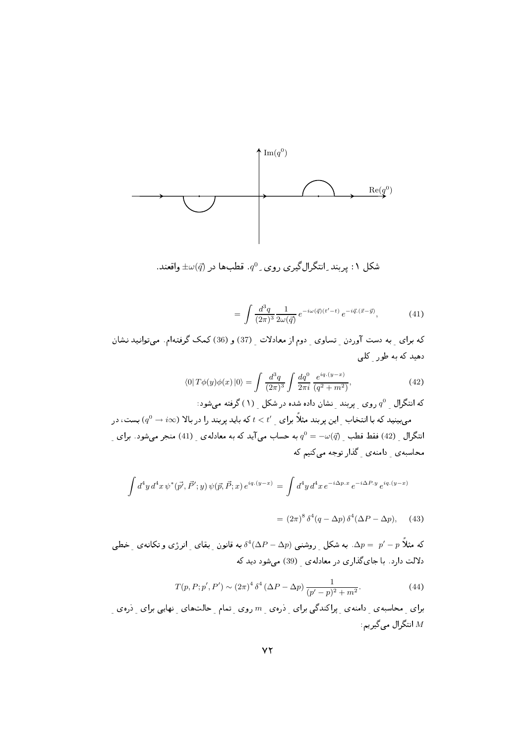

شکل ۱: پربند ِانتگرالگیری روی ِ  $q^0$ . قطبها در  $\pm\omega(\vec{q})$  واقعند.

$$
= \int \frac{d^3q}{(2\pi)^3} \frac{1}{2\omega(\vec{q})} e^{-i\omega(\vec{q})(t'-t)} e^{-i\vec{q} \cdot (\vec{x}-\vec{y})}, \tag{41}
$$

که برای به دست آوردن تساوی دوم از معادلات (37) و (36)کمک گرفتهام. میتوانید نشان دهید که به طور کلی

$$
\langle 0|T\phi(y)\phi(x)|0\rangle = \int \frac{d^3q}{(2\pi)^3} \int \frac{dq^0}{2\pi i} \frac{e^{iq.(y-x)}}{(q^2+m^2)},\tag{42}
$$

که انتگرال ِ  $q^0$  روی ِ پربند ِ نشان داده شده در شکل  $( \, \backslash \, )$  گرفته می شود:

می بینید که با انتخاب  $\psi$  این پربند مثلاً برای  $t < t' \leq t < t'$  که باید پربند را در بالا ( $q^0 \to i \infty$ ) بست، در انتگرال  $(42)$  فقط قطب  $q^0=-\omega(\vec{q})$  به حساب می آید که به معادله $(41)$  منجر می شود. برای محاسبه ی دامنه ی گذار توجه میکنیم که

$$
\int d^4y \, d^4x \, \psi^*(\vec{p'}, \vec{P'}; y) \, \psi(\vec{p}, \vec{P}; x) \, e^{iq.(y-x)} = \int d^4y \, d^4x \, e^{-i\Delta p.x} \, e^{-i\Delta P.y} \, e^{iq.(y-x)}
$$

$$
= (2\pi)^8 \delta^4 (q - \Delta p) \delta^4 (\Delta P - \Delta p), \quad (43)
$$

که مثلاً  $p^{\prime}-p^{\prime}=p$ . به شکل ۖ روشنبی  $\delta^{4}(\Delta P-\Delta p)$  به قانون ۖ بقای ۖ انرژی و تکانه ی ۖ خطبی دلالت دارد. با جای گذاری در معادلهی (39) می شود دید که

$$
T(p, P; p', P') \sim (2\pi)^4 \,\delta^4 \,(\Delta P - \Delta p) \,\frac{1}{(p'-p)^2 + m^2}.\tag{44}
$$

برای ِ محاسبه ی ِ دامنه ی ِ پراکندگی برای ِ ذرهی ِ  $m$  روی ِ تمام ِ حالتهای ِ نهایی برای ِ ذره $\,$  ِ انتگرال میگیریم:  $M$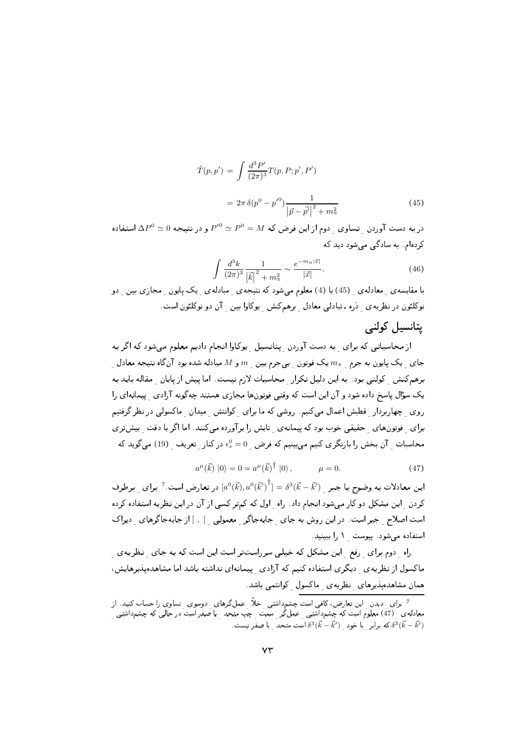$$
\tilde{T}(p, p') = \int \frac{d^3 P'}{(2\pi)^3} T(p, P; p', P')
$$
\n
$$
= 2\pi \delta(p^0 - p'^0) \frac{1}{|\vec{p} - \vec{p'}|^2 + m_\pi^2}
$$
\n(45)

در به دست آوردن  $\Delta P^0 \simeq P^0 \simeq P^0 \simeq P^0 = M$  و در نتیجه  $\Delta P^0 \simeq \Delta P^0 \simeq \Delta P^0$  استفاده کردہام. به سادگے مے شود دید که

$$
\int \frac{d^3k}{(2\pi)^3} \frac{1}{|\vec{k}|^2 + m_\pi^2} \sim \frac{e^{-m_\pi |\vec{x}|}}{|\vec{x}|}. \tag{46}
$$

با مقایسه ی معادله ی (45) با (4) معلوم میشود که نتیجه ی مبادله ی یک پایون ً مجازی بین ً دو نوکلئون در نظریه ی دره ـ تبادلی معادل برهمکنش پوکاوا بین آن دو نوکلئون است.

### یتانسیل کولنے

از محاسباتی که برای به دست آوردن پتانسیل پوکاوا انجام دادیم معلوم میشود که اگر به جای پک پایون به جرم  $m_\pi$  یک فوتون ببیجرم بین  $m$  و  $M$  مبادله شده بود آنگاه نتیجه معادل برهمکنش کولنی بود. به این دلیل تکرار محاسبات لازم نیست. اما پیش از پایان مقاله باید به یک سؤال پاسخ داده شود و آن این است که وقتبی فوتونها مجازی هستند چهگونه آزادی پیمانهای را روی چهاربردار قطبش اعمال میکنیم. روشی که ما برای کوانتش میدان ماکسولی در نظر گرفتیم برای ِ فوتونهای ِ حقیقی خوب بود که پیمانه ی تابش را برآورده میکنند. اما اگر با دقت ِ بیشتری محاسبات آن بخش را بازنگری کنیم می بینیم که فرض 0 $\epsilon_s^0=0$  در کنار تعریف (19) میگوید که

$$
a^{\mu}(\vec{k}) |0\rangle = 0 = a^{\mu}(\vec{k})^{\dagger} |0\rangle, \qquad \mu = 0.
$$
 (47)

این معادلات به وضوح با جبر  $\vec{k}=\vec{k}$   $\vec{k}=\left[a^0(\vec{k}),a^0(\vec{k}')^\dagger\right]=\delta^3(\vec{k}-\vec{k}')$  این معادلات به وضوح با جبر  $\vec{k}$ کردن \_ این مشکل دو کار می شود انجام داد. راه \_ اول که کمتر کسی از آن در این نظریه استفاده کرده است اصلاح ِ جبر است. در این روش به جای ِ جابهجاگر ِ معمولی [, ] از جابهجاگرهای دیراک استفاده مى شود. ييوست 1 را ببينيد.

راه دوم برای رفع این مشکل که خیلی سرراستتر است این است که به جای نظریهی ماکسول از نظریه ی دیگری استفاده کنیم که آزادی پیمانهای نداشته باشد اما مشاهدهپذیرهایش، همان مشاهدهپذیرهای نظریهی ماکسول کوانتمی باشد.

<sup>&</sup>lt;sup>7</sup> برای ِ دیدن ِ این تعارض، کافی است چشم‹اشتی ِ خلاً ِ عملگرهای ِ دوسوی ِ تساوی را حساب کنید. از معادله ی ِ (47) معلوم است که چشم داشتی ِ عمل کُر ِ سَمَتْ ِ چَپ متحد ِ با صفر است در حالی که چشم داشتی ِ . که برابر با خود  $\vec{k} - \vec{k}'$  است متحد با صفر نیست  $\delta^3(\vec{k} - \vec{k}')$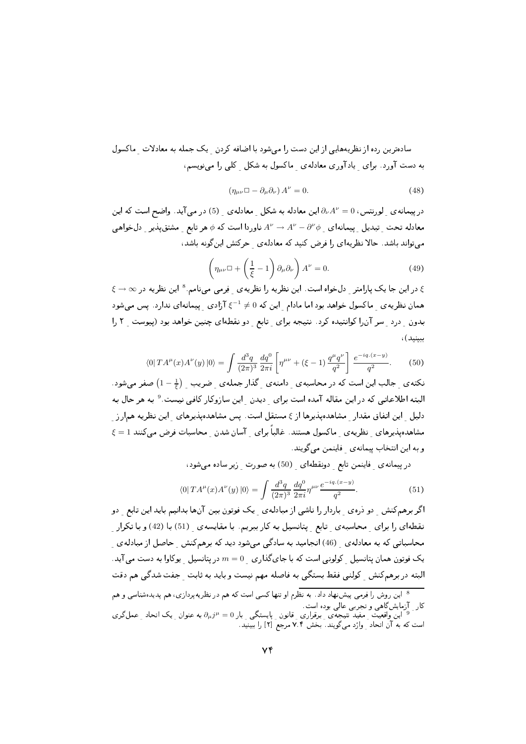سادهترین رده از نظریههایی از این دست را می شود با اضافه کردن پک جمله به معادلات ماکسول به دست آورد. برای پادآوری معادلهی ماکسول به شکل کلی را می نویسم،

$$
\left(\eta_{\mu\nu}\Box - \partial_{\mu}\partial_{\nu}\right)A^{\nu} = 0. \tag{48}
$$

در پیمانه ی لورنتس،  $\partial_{\nu}A^{\nu}=0$ این معادله به شکل معادله ی (5) در می آید. واضح است که این معادله تحت تبدیل ییمانهای  $\partial^{\nu} \phi - A^{\nu} - A^{\nu}$  ناوردا است که  $\phi$  هر تابع مشتق یذیر دل خواهی می تواند باشد. حالا نظریهای را فرض کنید که معادله ی حرکتش اینگونه باشد،

$$
\left(\eta_{\mu\nu}\Box + \left(\frac{1}{\xi} - 1\right)\partial_{\mu}\partial_{\nu}\right)A^{\nu} = 0.
$$
\n(49)

ع در این جا یک پارامتر <sub>\_</sub> دلخواه است. این نظریه را نظریه ی \_ فِرمی مینامم. <sup>8</sup> این نظریه در ∞ → ع همان نظریه ی ماکسول خواهد بود اما مادام لین که 0 $\xi^{-1}\neq \xi^{-1}$ زادی لیمانهای ندارد. پس میشود بدون درد سر آن را کوانتیده کرد. نتیجه برای تابع دو نقطهای چنین خواهد بود (پیوست ٢ را سنىد)،

$$
\langle 0| T A^{\mu}(x) A^{\nu}(y) |0 \rangle = \int \frac{d^3 q}{(2\pi)^3} \frac{dq^0}{2\pi i} \left[ \eta^{\mu\nu} + (\xi - 1) \frac{q^{\mu} q^{\nu}}{q^2} \right] \frac{e^{-iq.(x-y)}}{q^2}.
$$
 (50)

نکتهی جالب این است که در محاسبهی دامنهی گذار جملهی ضریب  $\left(1-\frac{1}{\epsilon}\right)$ صفر میشود. البته اطلاعاتی که در این مقاله آمده است برای دیدن این سازوکار کافی نیست.<sup>9</sup> به هر حال به دلیل ِ این اتفاق مقدار ِ مشاهدهپذیرها از ع مستقل است. پس مشاهدهپذیرهای ِ این نظریه همارز مشاهدهیذیرهای نظریهی ماکسول هستند. غالباً برای آسان شدن محاسبات فرض می کنند 1 = ع و به اين انتخاب پيمانهي فاينمن مي گويند.

در پیمانه ی فاینمن تابع دونقطهای (50) به صورت زیر ساده میشود،

$$
\langle 0| T A^{\mu}(x) A^{\nu}(y) |0\rangle = \int \frac{d^3q}{(2\pi)^3} \frac{dq^0}{2\pi i} \eta^{\mu\nu} \frac{e^{-iq.(x-y)}}{q^2}.
$$
 (51)

اگر برهمکنش ِ دو ذرهی ِ باردار را ناشی از مبادلهی ِ یک فوتون بین آنها بدانیم باید این تابع ِ دو نقطهای را برای ِ محاسبه ی ِ تابع ِ پتانسیل به کار ببریم. با مقایسه ی ِ (51) با (42) و با تکرار ِ محاسباتی که به معادله $_\circ$  (46) انجامید به سادگی میشود دید که برهمکنش ¸حاصل از مبادله $_\circ$  ¸ یک فوتون همان پتانسیل کولونی است که با جایگذاری  $m=0$  در پتانسیل پوکاوا به دست می آید. البته در برهمکنش کولنی فقط بستگی به فاصله مهم نیست و باید به ثابت حفت شدگی هم دقت

<sup>&</sup>lt;sup>8</sup> این روش را فِرمی پیش:هاد داد. به نظرم او تنها کسی است که هم در نظریهپردازی، هم پدیدهشناسی و هم کار ِ آزمایشگاهی و تجربی عالی بوده است.<br>و این واقعیت ِ مفید نتیجِه، ِ برقراری ِ قانون ِ پایستگی ِ بار a = " $\partial_\mu j^\mu = 0$  به عنوان ِ یک اتحاد ِ عملگری است که به آن اتحاد ِ وارْد میگویند. بخش ۷.۴ مرجع [۲] را ببینید.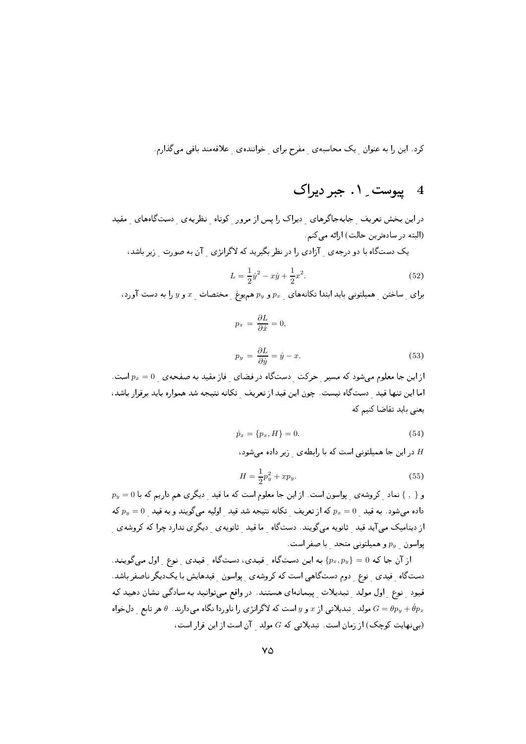کرد. این را به عنوان یک محاسبه ی مفرح برای خواننده ی علاقهمند باقی میگذارم.

## 4 پیوست ِ ۱. جبر دیراک

در این بخش تعریف جابهجاگرهای دیراک را پس از مرور کوتاه نظریهی دستگاههای مقید (البته در سادهترین حالت) ارائه می کنم.

یک دستگاه با دو درجهی آزادی را در نظر بگیرید که لاگرانژی آن به صورت زیر باشد،

$$
L = \frac{1}{2}\dot{y}^2 - x\dot{y} + \frac{1}{2}x^2.
$$
\n(52)

برای  $y$  ساختن همیلتونی باید ابتدا تکانههای  $p_x$  و  $p_y$ هم یوغ مختصات  $x$  و  $y$  را به دست آورد،

$$
p_x = \frac{\partial L}{\partial \dot{x}} = 0,
$$

$$
p_y = \frac{\partial L}{\partial \dot{y}} = \dot{y} - x. \tag{53}
$$

از این جا معلوم میشود که مسیر حرکت دستگاه در فضای فاز مقید به صفحهی  $p_x=0$ است. اما این تنها قید حستگاه نیست. چون این قید از تعریف تکانه نتیجه شد همواره باید برقرار باشد، یعنی باید تقاضا کنیم که

$$
\dot{p}_x = \{p_x, H\} = 0. \tag{54}
$$

در این جا همیلتونی است که با رابطه ی زیر داده می شود،  $H$ 

$$
H = \frac{1}{2}p_y^2 + xp_y.
$$
\n(55)

 $p_y=0$  و { , } نماد ¸ کروشه ی ¸ پواسون است. از این جا معلوم است که ما قید ¸ دیگری هم داریم که با داده میشود. به قید  $p_x=0$  که از تعریف تکانه نتیجه شد قید اولیه میگویند و به قید 0 $p_y=0$  که از دینامیک میآید قید ِ ثانویه میگویند. دستگاه ِ ما قید ِ ثانویه ی ِ دیگری ندارد چرا که کروشه ی پواسون ِ  $p_y$  و همیلتونی متحد ِ با صفر است.

از آن جا که  $0 = \{p_x, p_y\}$  به این دستگاه ِ قیدی، دستگاه ِ قیدی ِ نوع ِ اول میگویند. دستگاه ِ قیدی ِ نوع ِ دوم دستگاهی است که کروشهی ِ پواسون ِ قیدهایش با یکدیگر ناصفر باشد. قیود نوع اول مولد تبدیلات پیمانهای هستند. در واقع میتوانید به سادگی نشان دهید که مولد ِ تبدیلاتی از  $x$  و  $y$  است که لاگرانژی را ناوردا نگاه میدارند.  $\theta$  هر تابع ِ دل خواه  $G=\theta p_y+\dot{\theta} p_x$ (بی نهایت کوچک) از زمان است. تبدیلاتی که G مولد آن است از این قرار است،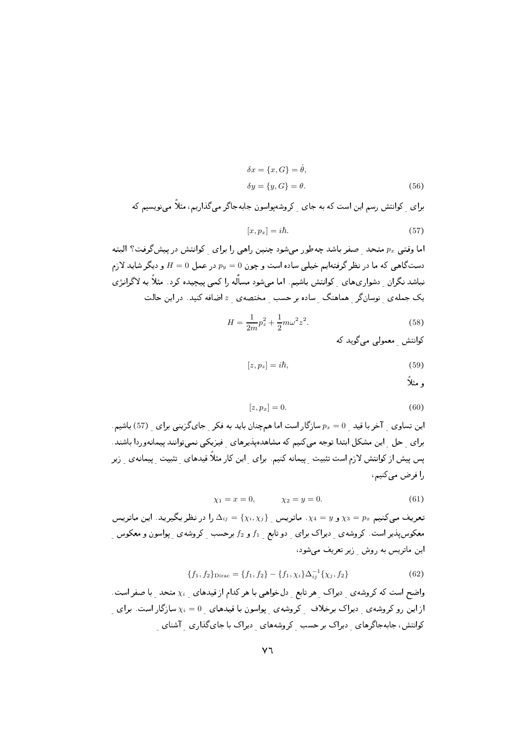$$
\delta x = \{x, G\} = \dot{\theta},
$$
  
\n
$$
\delta y = \{y, G\} = \theta.
$$
\n(56)

برای کوانتش رسم این است که به جای کروشهپواسون جابهجاگر میگذاریم، مثلاً می نویسیم که

$$
[x, p_x] = i\hbar. \tag{57}
$$

اما وقتبی  $p_x$  متحد صفر باشد چهطور می شود چنین راهبی را برای کوانتش در پیشگرفت؟ البته دستگاهی که ما در نظر گرفتهایم خیلی ساده است و چون  $p_y = p_y$  در عمل  $H = 0$  و دیگر شاید لازم نباشد نگران \_ دشواری های \_ کوانتش باشیم. اما می شود مسأله را کمی پیچیده کرد . مثلاً به لاگرانژی یک جملهی نوسانگر هماهنگ ساده بر حسب مختصهی  $z$ اضافه کنید. در این حالت

$$
H = \frac{1}{2m}p_z^2 + \frac{1}{2}m\omega^2 z^2.
$$
 (58)

كوانتش معمولى مى گويد كه

$$
[z, p_z] = i\hbar,\tag{59}
$$

و مثلا

$$
[z, p_x] = 0. \tag{60}
$$

این تساوی آخر با قید ه $p_x = 0$  سازگار است اما همچنان باید به فکر جایگزینی برای (57) باشیم. برای حل این مشکل ابتدا توجه میکنیم که مشاهدهپذیرهای فیزیکی نمیتوانند پیمانهوردا باشند. پس پیش از کوانتش لازم است تثبیت ِ پیمانه کنیم. برای ِ این کار مثلاً قیدهای ِ تثبیت ِ پیمانهی ِ زیرِ را فرض میکنیم،

$$
\chi_1 = x = 0, \qquad \chi_2 = y = 0. \tag{61}
$$

تعریف میکنیم  $\chi_3=p_x$  و  $\chi_4=y$ . ماتریس  $\Delta_{ij}=\{\chi_i,\chi_j\}$  را در نظر بگیرید. این ماتریس معکوسپذیر است. کروشهی دیراک برای دو تابع  $f_1$  و  $f_2$  برحسب کروشهی پواسون و معکوس این ماتریس به روش زیر تعریف می شود،

$$
\{f_1, f_2\}_{\text{Dirac}} = \{f_1, f_2\} - \{f_1, \chi_i\} \Delta_{ij}^{-1} \{\chi_j, f_2\} \tag{62}
$$

واضح است که کروشهی آدیراک هر تابع آدل خواهی با هر کدام از قیدهای  $\chi_i$  متحد با صفر است. از این رو کروشهی ِ دیراک برخلاف ِ کروشهی ِ پواسون با قیدهای ِ 0 =  $\chi_i=0$  سازگار است. برای کوانتش، جابهجاگرهای دیراک بر حسب کروشههای دیراک با جایگذاری آشنای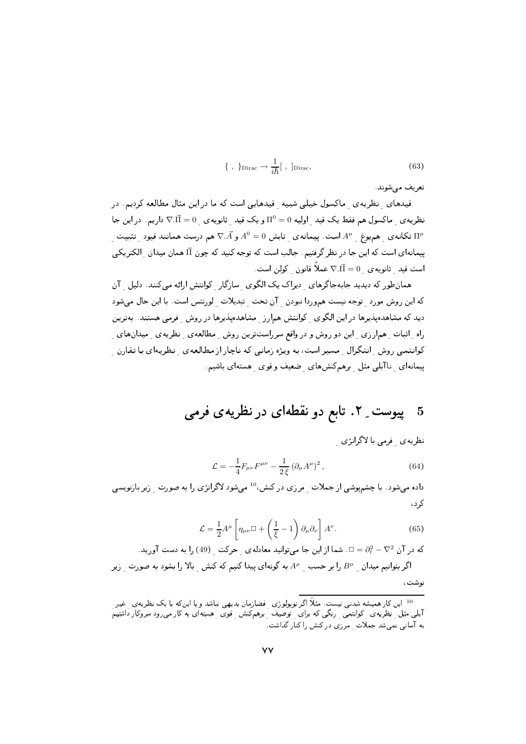$$
\{\ ,\ \}_{\text{Dirac}} \to \frac{1}{i\hbar}[\ ,\ ]_{\text{Dirac}},\tag{63}
$$

تعريف مي شوند.

.<br>قیدهای نظریهی ماکسول خیلی شبیه قیدهایی است که ما در این مثال مطالعه کردیم. در نظریه ی ماکسول هم فقط یک قید اولیه  $\Pi^0=\Pi^0=0$  و یک قید ثانویه ی  $\vec \Pi=0$  داریم. در این جا تکانهی همیوغ  $A^\mu$  است. پیمانهی تابش  $A^0=0$  و  $\bar{\lambda}$  هم درست همانند قیود تثبیت  $\Pi^\mu$ پیمانهای است که این جا در نظر گرفتیم. جالب است که توجه کنید که چون آآ همان میدان <sub>ـ</sub> الکتریکی 

همان طور که دیدید جابهجاگرهای دیراک یک الگوی سازگار کوانتش ارائه میکنند. دلیل آن كه اين روش مورد توجه نيست هموردا نبودن آن تحت تبديلات لورنتس است. با اين حال مى شود دید که مشاهدهپذیرها در این الگوی کوانتش همارز مشاهدهپذیرها در روش فرمی هستند. بهترین راه ِ اثبات ِ همارزی ِ این دو روش و در واقع سرراستترین روش ِ مطالعه ی ِ نظریه ی ِ میدانهای ِ کوانتمی روش ِ انتگرال مسیر است، به ویژه زمانی که ناچار از مطالعهی ِ نظریهای با تقارن پیمانهای ِ ناآبلبی مثل ِ برهمکنشهای ِ ضعیف و قوی ِ هستهای باشیم.

# 5 پیوست ِ ۲. تابع دو نقطهای در نظریهی فرمی

نظریه ی فرمی با لاگرانژی

$$
\mathcal{L} = -\frac{1}{4} F_{\mu\nu} F^{\mu\nu} - \frac{1}{2\xi} \left( \partial_{\mu} A^{\mu} \right)^2, \tag{64}
$$

داده می شود. با چشمپوشی از جملات مرزی در کنش،<sup>10</sup> می شود لاگرانژی را به صورت بزیر بازنویسی کر د ،

$$
\mathcal{L} = \frac{1}{2} A^{\mu} \left[ \eta_{\mu\nu} \Box + \left( \frac{1}{\xi} - 1 \right) \partial_{\mu} \partial_{\nu} \right] A^{\nu}.
$$
 (65)

که در آن  $\nabla^2-\partial_t^2=\mathbb{D}$ . شما از این جا میتوانید معادلهی ِ حرکت ِ (49) را به دست آورید.

اگر بتوانیم میدان مسلم از بر حسب مسلم میدا کنیم که کنش بالا را بشود به صورت زیر ا نوشت،

<sup>&</sup>lt;sup>10</sup> این کار همیشه شدنبی نیست. مثلاً اگر توپولوژی فضازمان بدیهی نباشد و یا اینکه با یک نظریهی غیر آبلی مثل نظریهی کوانتمی رنگی که برای توصیف برهمکنش قوی هستهای به کارمی رود سروکار داشتیم به آسانی نمی شد جملات مرزی درکنش را کنار گذاشت.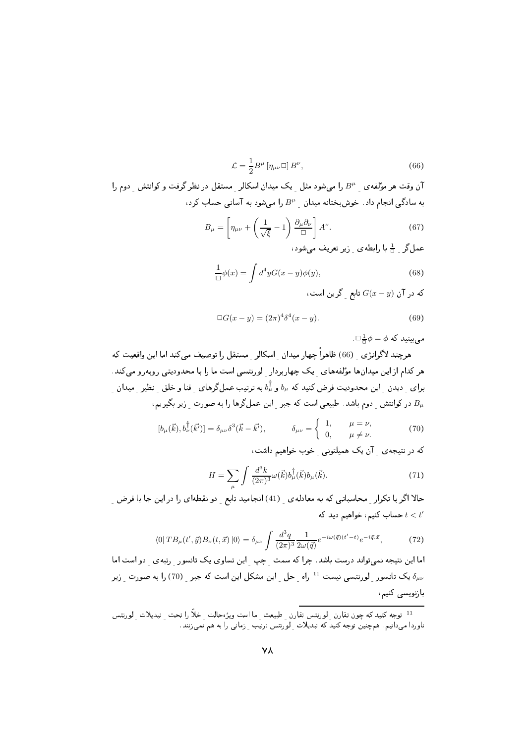$$
\mathcal{L} = \frac{1}{2} B^{\mu} \left[ \eta_{\mu\nu} \Box \right] B^{\nu},\tag{66}
$$

آن وقت هر مؤلفه ی  $B^\mu$  را می شود مثل یک میدان اسکالر ً مستقل در نظر گرفت و کوانتش ً دوم را  $B^\mu$ به سادگی انجام داد. خوشبختانه میدان  $B^{\mu}$  را میشود به آسانی حساب کرد،

$$
B_{\mu} = \left[\eta_{\mu\nu} + \left(\frac{1}{\sqrt{\xi}} - 1\right) \frac{\partial_{\mu} \partial_{\nu}}{\Box}\right] A^{\nu}.
$$
 (67)

عمل کر ہے با رابطہ یں زیر تعریف می شود،

$$
\frac{1}{\Box}\phi(x) = \int d^4y G(x - y)\phi(y),\tag{68}
$$

که در آن  $G(x-y)$  تابع گرین است،

$$
\Box G(x - y) = (2\pi)^4 \delta^4(x - y). \tag{69}
$$

 $\Box \frac{1}{\Box \phi} = \phi$  میں بینید که

هرچند لاگرانژي (66) ظاهراً چهار ميدان اسكالر مستقل را توصيف مي كند اما اين واقعيت كه هر کدام از این میدانها مؤلفههای یک چهاربردار گورنتسی است ما را با محدودیتی روبهرو می کند. برای ِ دیدن ِ این محدودیت فرض کنید که  $b_\mu$  و  $b_\mu^\dagger$  به ترتیب عمل $\zeta$ های ِ فنا و خلق ِ نظیر ِ میدان در کوانتش دوم باشد. طبیعی است که جبر آین عملگرها را به صورت زیر بگیریم،  $B_\mu$ 

$$
[b_{\mu}(\vec{k}), b_{\nu}^{\dagger}(\vec{k'})] = \delta_{\mu\nu}\delta^{3}(\vec{k} - \vec{k'}), \qquad \delta_{\mu\nu} = \begin{cases} 1, & \mu = \nu, \\ 0, & \mu \neq \nu. \end{cases}
$$
 (70)

که در نتیجه ی آن یک همیلتونی خوب خواهیم داشت،

$$
H = \sum_{\mu} \int \frac{d^3k}{(2\pi)^3} \omega(\vec{k}) b_{\mu}^{\dagger}(\vec{k}) b_{\mu}(\vec{k}).
$$
 (71)

حالا اگر با تکرار محاسباتی که به معادله ی ِ (41) انجامید تابع ِ دو نقطهای را در این جا با فرض ِ حساب کنیم، خواهیم دید که  $t < t^\prime$ 

$$
\langle 0| TB_{\mu}(t',\vec{y}) B_{\nu}(t,\vec{x}) |0\rangle = \delta_{\mu\nu} \int \frac{d^3q}{(2\pi)^3} \frac{1}{2\omega(\vec{q})} e^{-i\omega(\vec{q})(t'-t)} e^{-i\vec{q}.\vec{x}},\tag{72}
$$

اما این نتیجه نمیتواند درست باشد. چرا که سمت چپ این تساوی یک تانسور رتبهی دو است اما یک تانسور گورنتسی نیست.  $^{11}$  راه حل این مشکل این است که جبر (70) را به صورت زیر ( بازنویسی کنیم،

<sup>&</sup>lt;sup>11</sup> توجه کنید که چون تقارن <sub>ب</sub> لورنتس تقارن <sub>ب</sub> طبیعت <sub>ب</sub> ما است ویژهحالت <sub>ب</sub> خلاً را تحت <sub>ب</sub> تبدیلات <sub>ب</sub> لورنتس ناوردا می دانیم. همچنین توجه کَنیدَ که تبدیلات ً لوَرنتس ترتیَب ﴿ زمانی را به هم نَمی زنند.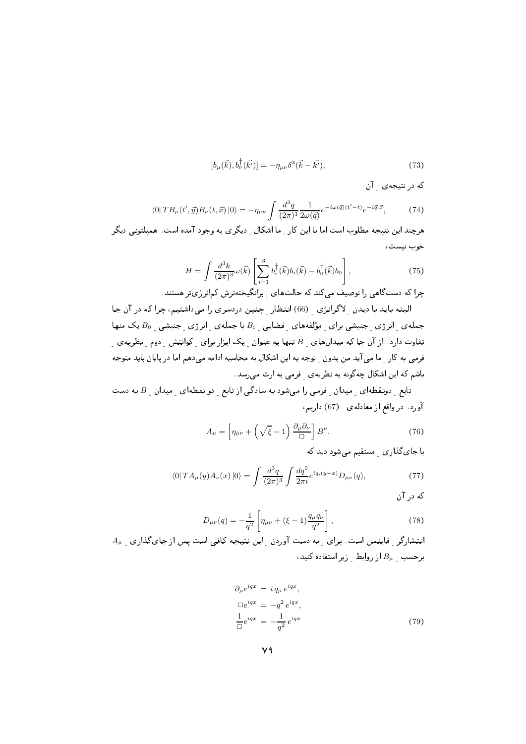$$
[b_{\mu}(\vec{k}), b_{\nu}^{\dagger}(\vec{k'})] = -\eta_{\mu\nu}\delta^3(\vec{k} - \vec{k'}), \tag{73}
$$

که در نتیجه ی آن

$$
\langle 0| TB_{\mu}(t',\vec{y}) B_{\nu}(t,\vec{x}) |0\rangle = -\eta_{\mu\nu} \int \frac{d^3q}{(2\pi)^3} \frac{1}{2\omega(\vec{q})} e^{-i\omega(\vec{q})(t'-t)} e^{-i\vec{q}.\vec{x}},\tag{74}
$$

هرچند این نتیجه مطلوب است اما با این کار ِ ما اشکال ِ دیگری به وجود آمده است. همیلتونی دیگر خوب نيست،

$$
H = \int \frac{d^3k}{(2\pi)^3} \omega(\vec{k}) \left[ \sum_{i=1}^3 b_i^{\dagger}(\vec{k}) b_i(\vec{k}) - b_0^{\dagger}(\vec{k}) b_0 \right],
$$
 (75)

چرا که دستگاهی را توصیف می کند که حالتهای برانگیختهترش کمانرژیتر هستند.

البته باید با دیدن لاگرانژی (66) انتظار چنین دردسری را میداشتیم، چرا که در آن جا جملهی انرژی جنبشی برای مؤلفههای فضایی Bi با جملهی انرژی جنبشی  $B_0$ یک منها تفاوت دارد. از آن جا که میدانهای  $B_{\perp}$ تنها به عنوان ِ یک ابزار برای ِ کوانتش ِ دوم ِ نظریه $\mathcal{L}$  ِ فرمبی به کار ما می آید من بدون توجه به این اشکال به محاسبه ادامه می دهم اما در پایان باید متوجه باشم که این اشکال چهگونه به نظریه ی فرمی به ارث می رسد.

تابع ِ دونقطه ای ِ میدان ِ فرمی را میشود به سادگی از تابع ِ دو نقطه ای ِ میدان ِ B به دست آورد. در واقع از معادله ی (67) داریم،

$$
A_{\mu} = \left[\eta_{\mu\nu} + \left(\sqrt{\xi} - 1\right) \frac{\partial_{\mu} \partial_{\nu}}{\Box}\right] B^{\nu}.
$$
 (76)

با جای گذاری مستقیم می شود دید که

$$
\langle 0| T A_{\mu}(y) A_{\nu}(x) |0\rangle = \int \frac{d^3q}{(2\pi)^3} \int \frac{dq^0}{2\pi i} e^{iq.(y-x)} D_{\mu\nu}(q), \tag{77}
$$

که در آن

$$
D_{\mu\nu}(q) = -\frac{1}{q^2} \left[ \eta_{\mu\nu} + (\xi - 1) \frac{q_\mu q_\nu}{q^2} \right],\tag{78}
$$

 $A_\mu$  انتشارگر فاینمن است. برای به دست آوردن این نتیجه کافی است پس از جایگذاری  $B_\mu$  برحسب  $B_\mu$ از روابط زیر استفاده کنید،

$$
\partial_{\mu} e^{iqx} = i q_{\mu} e^{iqx},
$$
  
\n
$$
\Box e^{iqx} = -q^2 e^{iqx},
$$
  
\n
$$
\frac{1}{\Box} e^{iqx} = -\frac{1}{q^2} e^{iqx}
$$
\n(79)